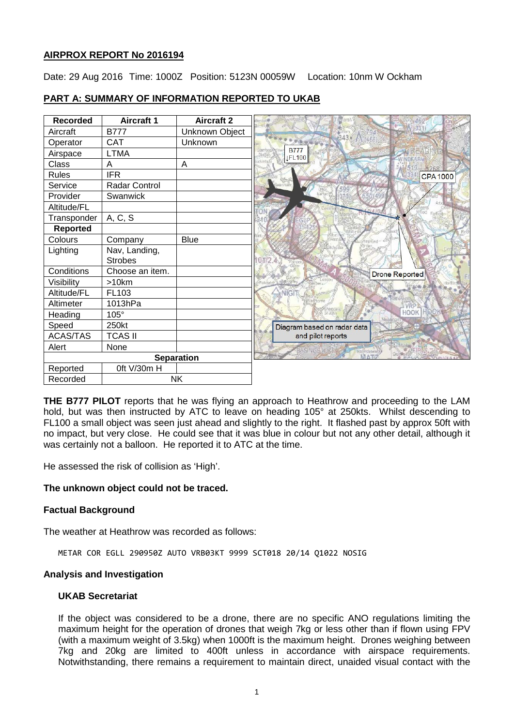# **AIRPROX REPORT No 2016194**

Date: 29 Aug 2016 Time: 1000Z Position: 5123N 00059W Location: 10nm W Ockham

| <b>Recorded</b> | <b>Aircraft 1</b> | <b>Aircraft 2</b> |
|-----------------|-------------------|-------------------|
| Aircraft        | <b>B777</b>       | Unknown Object    |
| Operator        | <b>CAT</b>        | Unknown           |
| Airspace        | <b>LTMA</b>       |                   |
| Class           | A                 | A                 |
| <b>Rules</b>    | <b>IFR</b>        |                   |
| Service         | Radar Control     |                   |
| Provider        | Swanwick          |                   |
| Altitude/FL     |                   |                   |
| Transponder     | A, C, S           |                   |
| <b>Reported</b> |                   |                   |
| Colours         | Company           | <b>Blue</b>       |
| Lighting        | Nav, Landing,     |                   |
|                 | <b>Strobes</b>    |                   |
| Conditions      | Choose an item.   |                   |
| Visibility      | >10km             |                   |
| Altitude/FL     | FL103             |                   |
| Altimeter       | 1013hPa           |                   |
| Heading         | 105°              |                   |
| Speed           | 250kt             |                   |
| <b>ACAS/TAS</b> | <b>TCAS II</b>    |                   |
| Alert           | None              |                   |
|                 |                   | <b>Separation</b> |
| Reported        | 0ft V/30m H       |                   |
| Recorded        |                   | <b>NK</b>         |

# **PART A: SUMMARY OF INFORMATION REPORTED TO UKAB**

**THE B777 PILOT** reports that he was flying an approach to Heathrow and proceeding to the LAM hold, but was then instructed by ATC to leave on heading 105° at 250kts. Whilst descending to FL100 a small object was seen just ahead and slightly to the right. It flashed past by approx 50ft with no impact, but very close. He could see that it was blue in colour but not any other detail, although it was certainly not a balloon. He reported it to ATC at the time.

He assessed the risk of collision as 'High'.

### **The unknown object could not be traced.**

# **Factual Background**

The weather at Heathrow was recorded as follows:

METAR COR EGLL 290950Z AUTO VRB03KT 9999 SCT018 20/14 Q1022 NOSIG

### **Analysis and Investigation**

### **UKAB Secretariat**

If the object was considered to be a drone, there are no specific ANO regulations limiting the maximum height for the operation of drones that weigh 7kg or less other than if flown using FPV (with a maximum weight of 3.5kg) when 1000ft is the maximum height. Drones weighing between 7kg and 20kg are limited to 400ft unless in accordance with airspace requirements. Notwithstanding, there remains a requirement to maintain direct, unaided visual contact with the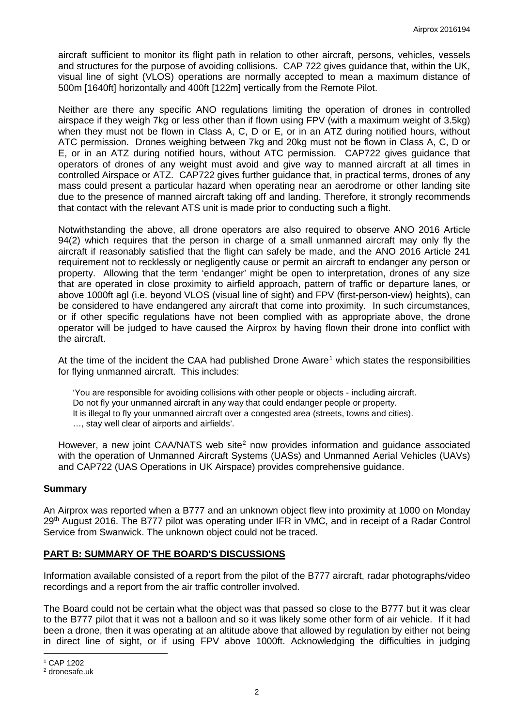aircraft sufficient to monitor its flight path in relation to other aircraft, persons, vehicles, vessels and structures for the purpose of avoiding collisions. CAP 722 gives guidance that, within the UK, visual line of sight (VLOS) operations are normally accepted to mean a maximum distance of 500m [1640ft] horizontally and 400ft [122m] vertically from the Remote Pilot.

Neither are there any specific ANO regulations limiting the operation of drones in controlled airspace if they weigh 7kg or less other than if flown using FPV (with a maximum weight of 3.5kg) when they must not be flown in Class A, C, D or E, or in an ATZ during notified hours, without ATC permission. Drones weighing between 7kg and 20kg must not be flown in Class A, C, D or E, or in an ATZ during notified hours, without ATC permission. CAP722 gives guidance that operators of drones of any weight must avoid and give way to manned aircraft at all times in controlled Airspace or ATZ. CAP722 gives further guidance that, in practical terms, drones of any mass could present a particular hazard when operating near an aerodrome or other landing site due to the presence of manned aircraft taking off and landing. Therefore, it strongly recommends that contact with the relevant ATS unit is made prior to conducting such a flight.

Notwithstanding the above, all drone operators are also required to observe ANO 2016 Article 94(2) which requires that the person in charge of a small unmanned aircraft may only fly the aircraft if reasonably satisfied that the flight can safely be made, and the ANO 2016 Article 241 requirement not to recklessly or negligently cause or permit an aircraft to endanger any person or property. Allowing that the term 'endanger' might be open to interpretation, drones of any size that are operated in close proximity to airfield approach, pattern of traffic or departure lanes, or above 1000ft agl (i.e. beyond VLOS (visual line of sight) and FPV (first-person-view) heights), can be considered to have endangered any aircraft that come into proximity. In such circumstances, or if other specific regulations have not been complied with as appropriate above, the drone operator will be judged to have caused the Airprox by having flown their drone into conflict with the aircraft.

At the time of the incident the CAA had published Drone Aware<sup>[1](#page-1-0)</sup> which states the responsibilities for flying unmanned aircraft. This includes:

'You are responsible for avoiding collisions with other people or objects - including aircraft. Do not fly your unmanned aircraft in any way that could endanger people or property. It is illegal to fly your unmanned aircraft over a congested area (streets, towns and cities). …, stay well clear of airports and airfields'.

However, a new joint CAA/NATS web site<sup>[2](#page-1-1)</sup> now provides information and quidance associated with the operation of Unmanned Aircraft Systems (UASs) and Unmanned Aerial Vehicles (UAVs) and CAP722 (UAS Operations in UK Airspace) provides comprehensive guidance.

### **Summary**

An Airprox was reported when a B777 and an unknown object flew into proximity at 1000 on Monday 29<sup>th</sup> August 2016. The B777 pilot was operating under IFR in VMC, and in receipt of a Radar Control Service from Swanwick. The unknown object could not be traced.

### **PART B: SUMMARY OF THE BOARD'S DISCUSSIONS**

Information available consisted of a report from the pilot of the B777 aircraft, radar photographs/video recordings and a report from the air traffic controller involved.

The Board could not be certain what the object was that passed so close to the B777 but it was clear to the B777 pilot that it was not a balloon and so it was likely some other form of air vehicle. If it had been a drone, then it was operating at an altitude above that allowed by regulation by either not being in direct line of sight, or if using FPV above 1000ft. Acknowledging the difficulties in judging

l

<span id="page-1-0"></span><sup>1</sup> CAP 1202

<span id="page-1-1"></span><sup>2</sup> dronesafe.uk